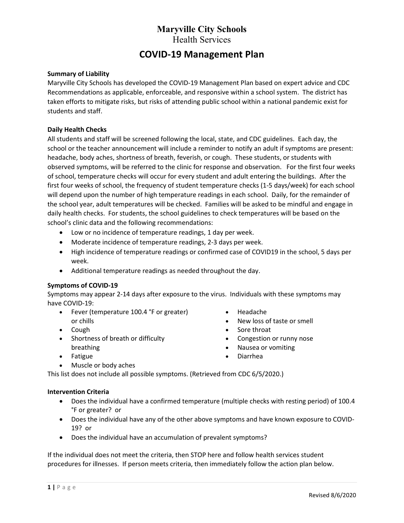# COVID-19 Management Plan

#### Summary of Liability

Maryville City Schools has developed the COVID-19 Management Plan based on expert advice and CDC Recommendations as applicable, enforceable, and responsive within a school system. The district has taken efforts to mitigate risks, but risks of attending public school within a national pandemic exist for students and staff.

#### Daily Health Checks

All students and staff will be screened following the local, state, and CDC guidelines. Each day, the school or the teacher announcement will include a reminder to notify an adult if symptoms are present: headache, body aches, shortness of breath, feverish, or cough. These students, or students with observed symptoms, will be referred to the clinic for response and observation. For the first four weeks of school, temperature checks will occur for every student and adult entering the buildings. After the first four weeks of school, the frequency of student temperature checks (1-5 days/week) for each school will depend upon the number of high temperature readings in each school. Daily, for the remainder of the school year, adult temperatures will be checked. Families will be asked to be mindful and engage in daily health checks. For students, the school guidelines to check temperatures will be based on the school's clinic data and the following recommendations:

- Low or no incidence of temperature readings, 1 day per week.
- Moderate incidence of temperature readings, 2-3 days per week.
- High incidence of temperature readings or confirmed case of COVID19 in the school, 5 days per week.
- Additional temperature readings as needed throughout the day.

#### Symptoms of COVID-19

Symptoms may appear 2-14 days after exposure to the virus. Individuals with these symptoms may have COVID-19:

- Fever (temperature 100.4 °F or greater) or chills
- Cough
- Shortness of breath or difficulty breathing
- Fatigue
- Muscle or body aches
- Headache New loss of taste or smell
- Sore throat
- Congestion or runny nose
- Nausea or vomiting
- Diarrhea
- This list does not include all possible symptoms. (Retrieved from CDC 6/5/2020.)

#### Intervention Criteria

- Does the individual have a confirmed temperature (multiple checks with resting period) of 100.4 °F or greater? or
- Does the individual have any of the other above symptoms and have known exposure to COVID-19? or
- Does the individual have an accumulation of prevalent symptoms?

If the individual does not meet the criteria, then STOP here and follow health services student procedures for illnesses. If person meets criteria, then immediately follow the action plan below.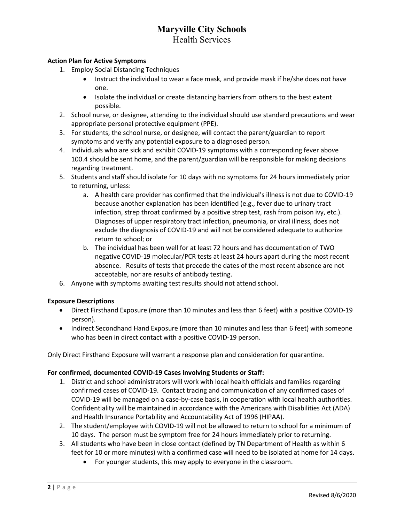### Action Plan for Active Symptoms

- 1. Employ Social Distancing Techniques
	- Instruct the individual to wear a face mask, and provide mask if he/she does not have one.
	- Isolate the individual or create distancing barriers from others to the best extent possible.
- 2. School nurse, or designee, attending to the individual should use standard precautions and wear appropriate personal protective equipment (PPE).
- 3. For students, the school nurse, or designee, will contact the parent/guardian to report symptoms and verify any potential exposure to a diagnosed person.
- 4. Individuals who are sick and exhibit COVID-19 symptoms with a corresponding fever above 100.4 should be sent home, and the parent/guardian will be responsible for making decisions regarding treatment.
- 5. Students and staff should isolate for 10 days with no symptoms for 24 hours immediately prior to returning, unless:
	- a. A health care provider has confirmed that the individual's illness is not due to COVID-19 because another explanation has been identified (e.g., fever due to urinary tract infection, strep throat confirmed by a positive strep test, rash from poison ivy, etc.). Diagnoses of upper respiratory tract infection, pneumonia, or viral illness, does not exclude the diagnosis of COVID-19 and will not be considered adequate to authorize return to school; or
	- b. The individual has been well for at least 72 hours and has documentation of TWO negative COVID-19 molecular/PCR tests at least 24 hours apart during the most recent absence. Results of tests that precede the dates of the most recent absence are not acceptable, nor are results of antibody testing.
- 6. Anyone with symptoms awaiting test results should not attend school.

### Exposure Descriptions

- Direct Firsthand Exposure (more than 10 minutes and less than 6 feet) with a positive COVID-19 person).
- Indirect Secondhand Hand Exposure (more than 10 minutes and less than 6 feet) with someone who has been in direct contact with a positive COVID-19 person.

Only Direct Firsthand Exposure will warrant a response plan and consideration for quarantine.

### For confirmed, documented COVID-19 Cases Involving Students or Staff:

- 1. District and school administrators will work with local health officials and families regarding confirmed cases of COVID-19. Contact tracing and communication of any confirmed cases of COVID-19 will be managed on a case-by-case basis, in cooperation with local health authorities. Confidentiality will be maintained in accordance with the Americans with Disabilities Act (ADA) and Health Insurance Portability and Accountability Act of 1996 (HIPAA).
- 2. The student/employee with COVID-19 will not be allowed to return to school for a minimum of 10 days. The person must be symptom free for 24 hours immediately prior to returning.
- 3. All students who have been in close contact (defined by TN Department of Health as within 6 feet for 10 or more minutes) with a confirmed case will need to be isolated at home for 14 days.
	- For younger students, this may apply to everyone in the classroom.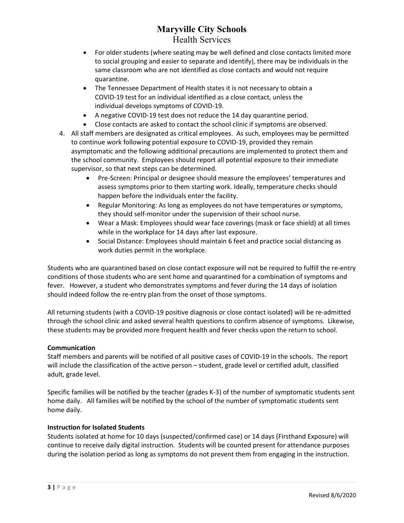- For older students (where seating may be well defined and close contacts limited more to social grouping and easier to separate and identify), there may be individuals in the same classroom who are not identified as close contacts and would not require quarantine.
- The Tennessee Department of Health states it is not necessary to obtain a COVID-19 test for an individual identified as a close contact, unless the individual develops symptoms of COVID-19.
- A negative COVID-19 test does not reduce the 14 day quarantine period.
- Close contacts are asked to contact the school clinic if symptoms are observed.
- 4. All staff members are designated as critical employees. As such, employees may be permitted to continue work following potential exposure to COVID-19, provided they remain asymptomatic and the following additional precautions are implemented to protect them and the school community. Employees should report all potential exposure to their immediate supervisor, so that next steps can be determined.
	- Pre-Screen: Principal or designee should measure the employees' temperatures and assess symptoms prior to them starting work. Ideally, temperature checks should happen before the individuals enter the facility.
	- Regular Monitoring: As long as employees do not have temperatures or symptoms, they should self-monitor under the supervision of their school nurse.
	- Wear a Mask: Employees should wear face coverings (mask or face shield) at all times while in the workplace for 14 days after last exposure.
	- Social Distance: Employees should maintain 6 feet and practice social distancing as work duties permit in the workplace.

Students who are quarantined based on close contact exposure will not be required to fulfill the re-entry conditions of those students who are sent home and quarantined for a combination of symptoms and fever. However, a student who demonstrates symptoms and fever during the 14 days of isolation should indeed follow the re-entry plan from the onset of those symptoms.

All returning students (with a COVID-19 positive diagnosis or close contact isolated) will be re-admitted through the school clinic and asked several health questions to confirm absence of symptoms. Likewise, these students may be provided more frequent health and fever checks upon the return to school.

### Communication

Staff members and parents will be notified of all positive cases of COVID-19 in the schools. The report will include the classification of the active person – student, grade level or certified adult, classified adult, grade level.

Specific families will be notified by the teacher (grades K-3) of the number of symptomatic students sent home daily. All families will be notified by the school of the number of symptomatic students sent home daily.

### Instruction for Isolated Students

Students isolated at home for 10 days (suspected/confirmed case) or 14 days (Firsthand Exposure) will continue to receive daily digital instruction. Students will be counted present for attendance purposes during the isolation period as long as symptoms do not prevent them from engaging in the instruction.